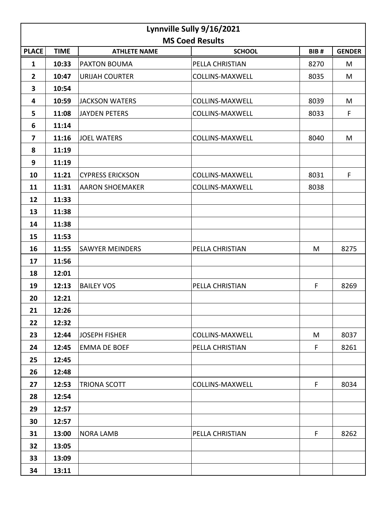| Lynnville Sully 9/16/2021 |             |                         |                        |      |               |  |  |  |  |
|---------------------------|-------------|-------------------------|------------------------|------|---------------|--|--|--|--|
| <b>MS Coed Results</b>    |             |                         |                        |      |               |  |  |  |  |
| <b>PLACE</b>              | <b>TIME</b> | <b>ATHLETE NAME</b>     | <b>SCHOOL</b>          | BIB# | <b>GENDER</b> |  |  |  |  |
| $\mathbf{1}$              | 10:33       | PAXTON BOUMA            | PELLA CHRISTIAN        | 8270 | M             |  |  |  |  |
| $\overline{2}$            | 10:47       | <b>URIJAH COURTER</b>   | <b>COLLINS-MAXWELL</b> | 8035 | M             |  |  |  |  |
| 3                         | 10:54       |                         |                        |      |               |  |  |  |  |
| 4                         | 10:59       | <b>JACKSON WATERS</b>   | <b>COLLINS-MAXWELL</b> | 8039 | M             |  |  |  |  |
| 5                         | 11:08       | <b>JAYDEN PETERS</b>    | <b>COLLINS-MAXWELL</b> | 8033 | F             |  |  |  |  |
| 6                         | 11:14       |                         |                        |      |               |  |  |  |  |
| 7                         | 11:16       | <b>JOEL WATERS</b>      | <b>COLLINS-MAXWELL</b> | 8040 | M             |  |  |  |  |
| 8                         | 11:19       |                         |                        |      |               |  |  |  |  |
| 9                         | 11:19       |                         |                        |      |               |  |  |  |  |
| 10                        | 11:21       | <b>CYPRESS ERICKSON</b> | <b>COLLINS-MAXWELL</b> | 8031 | F             |  |  |  |  |
| 11                        | 11:31       | <b>AARON SHOEMAKER</b>  | <b>COLLINS-MAXWELL</b> | 8038 |               |  |  |  |  |
| 12                        | 11:33       |                         |                        |      |               |  |  |  |  |
| 13                        | 11:38       |                         |                        |      |               |  |  |  |  |
| 14                        | 11:38       |                         |                        |      |               |  |  |  |  |
| 15                        | 11:53       |                         |                        |      |               |  |  |  |  |
| 16                        | 11:55       | <b>SAWYER MEINDERS</b>  | PELLA CHRISTIAN        | M    | 8275          |  |  |  |  |
| 17                        | 11:56       |                         |                        |      |               |  |  |  |  |
| 18                        | 12:01       |                         |                        |      |               |  |  |  |  |
| 19                        | 12:13       | <b>BAILEY VOS</b>       | PELLA CHRISTIAN        | F    | 8269          |  |  |  |  |
| 20                        | 12:21       |                         |                        |      |               |  |  |  |  |
| 21                        | 12:26       |                         |                        |      |               |  |  |  |  |
| 22                        | 12:32       |                         |                        |      |               |  |  |  |  |
| 23                        | 12:44       | <b>JOSEPH FISHER</b>    | <b>COLLINS-MAXWELL</b> | M    | 8037          |  |  |  |  |
| 24                        | 12:45       | <b>EMMA DE BOEF</b>     | PELLA CHRISTIAN        | F    | 8261          |  |  |  |  |
| 25                        | 12:45       |                         |                        |      |               |  |  |  |  |
| 26                        | 12:48       |                         |                        |      |               |  |  |  |  |
| 27                        | 12:53       | TRIONA SCOTT            | <b>COLLINS-MAXWELL</b> | F    | 8034          |  |  |  |  |
| 28                        | 12:54       |                         |                        |      |               |  |  |  |  |
| 29                        | 12:57       |                         |                        |      |               |  |  |  |  |
| 30                        | 12:57       |                         |                        |      |               |  |  |  |  |
| 31                        | 13:00       | <b>NORA LAMB</b>        | PELLA CHRISTIAN        | F    | 8262          |  |  |  |  |
| 32                        | 13:05       |                         |                        |      |               |  |  |  |  |
| 33                        | 13:09       |                         |                        |      |               |  |  |  |  |
| 34                        | 13:11       |                         |                        |      |               |  |  |  |  |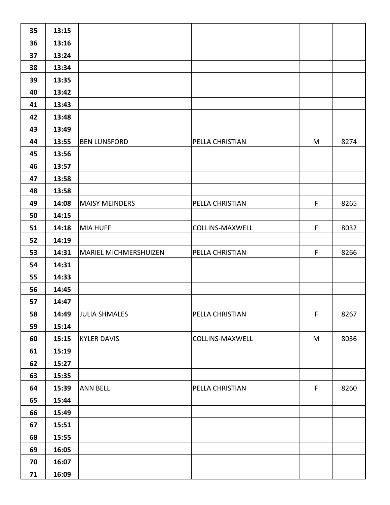| 35 | 13:15 |                              |                        |             |      |
|----|-------|------------------------------|------------------------|-------------|------|
| 36 | 13:16 |                              |                        |             |      |
| 37 | 13:24 |                              |                        |             |      |
| 38 | 13:34 |                              |                        |             |      |
| 39 | 13:35 |                              |                        |             |      |
| 40 | 13:42 |                              |                        |             |      |
| 41 | 13:43 |                              |                        |             |      |
| 42 | 13:48 |                              |                        |             |      |
| 43 | 13:49 |                              |                        |             |      |
| 44 | 13:55 | <b>BEN LUNSFORD</b>          | PELLA CHRISTIAN        | M           | 8274 |
| 45 | 13:56 |                              |                        |             |      |
| 46 | 13:57 |                              |                        |             |      |
| 47 | 13:58 |                              |                        |             |      |
| 48 | 13:58 |                              |                        |             |      |
| 49 | 14:08 | <b>MAISY MEINDERS</b>        | PELLA CHRISTIAN        | F           | 8265 |
| 50 | 14:15 |                              |                        |             |      |
| 51 | 14:18 | <b>MIA HUFF</b>              | <b>COLLINS-MAXWELL</b> | $\mathsf F$ | 8032 |
| 52 | 14:19 |                              |                        |             |      |
| 53 | 14:31 | <b>MARIEL MICHMERSHUIZEN</b> | PELLA CHRISTIAN        | $\mathsf F$ | 8266 |
| 54 | 14:31 |                              |                        |             |      |
| 55 | 14:33 |                              |                        |             |      |
| 56 | 14:45 |                              |                        |             |      |
| 57 | 14:47 |                              |                        |             |      |
| 58 | 14:49 | <b>JULIA SHMALES</b>         | PELLA CHRISTIAN        | $\mathsf F$ | 8267 |
| 59 | 15:14 |                              |                        |             |      |
| 60 | 15:15 | <b>KYLER DAVIS</b>           | <b>COLLINS-MAXWELL</b> | M           | 8036 |
| 61 | 15:19 |                              |                        |             |      |
| 62 | 15:27 |                              |                        |             |      |
| 63 | 15:35 |                              |                        |             |      |
| 64 | 15:39 | <b>ANN BELL</b>              | PELLA CHRISTIAN        | F           | 8260 |
| 65 | 15:44 |                              |                        |             |      |
| 66 | 15:49 |                              |                        |             |      |
| 67 | 15:51 |                              |                        |             |      |
| 68 | 15:55 |                              |                        |             |      |
| 69 | 16:05 |                              |                        |             |      |
| 70 | 16:07 |                              |                        |             |      |
| 71 | 16:09 |                              |                        |             |      |